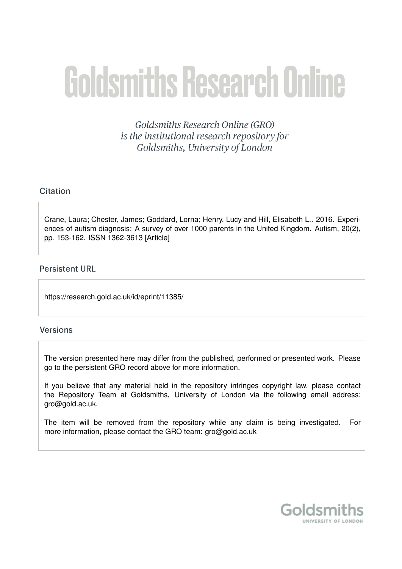# **Goldsmiths Research Online**

Goldsmiths Research Online (GRO) is the institutional research repository for Goldsmiths, University of London

# Citation

Crane, Laura; Chester, James; Goddard, Lorna; Henry, Lucy and Hill, Elisabeth L.. 2016. Experiences of autism diagnosis: A survey of over 1000 parents in the United Kingdom. Autism, 20(2), pp. 153-162. ISSN 1362-3613 [Article]

## **Persistent URL**

https://research.gold.ac.uk/id/eprint/11385/

## **Versions**

The version presented here may differ from the published, performed or presented work. Please go to the persistent GRO record above for more information.

If you believe that any material held in the repository infringes copyright law, please contact the Repository Team at Goldsmiths, University of London via the following email address: gro@gold.ac.uk.

The item will be removed from the repository while any claim is being investigated. For more information, please contact the GRO team: gro@gold.ac.uk

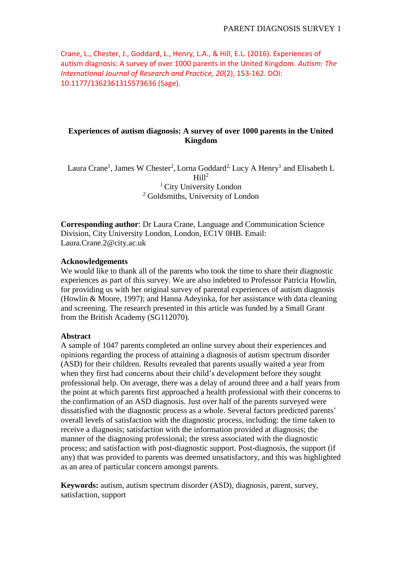Crane, L., Chester, J., Goddard, L., Henry, L.A., & Hill, E.L. (2016). Experiences of autism diagnosis: A survey of over 1000 parents in the United Kingdom. *Autism: The International Journal of Research and Practice, 20*(2), 153-162. DOI: 10.1177/1362361315573636 (Sage).

## **Experiences of autism diagnosis: A survey of over 1000 parents in the United Kingdom**

Laura Crane<sup>1</sup>, James W Chester<sup>2</sup>, Lorna Goddard<sup>2,</sup> Lucy A Henry<sup>1</sup> and Elisabeth L  $Hill<sup>2</sup>$ <sup>1</sup> City University London <sup>2</sup> Goldsmiths, University of London

**Corresponding author**: Dr Laura Crane, Language and Communication Science Division, City University London, London, EC1V 0HB. Email: Laura.Crane.2@city.ac.uk

#### **Acknowledgements**

We would like to thank all of the parents who took the time to share their diagnostic experiences as part of this survey. We are also indebted to Professor Patricia Howlin, for providing us with her original survey of parental experiences of autism diagnosis (Howlin & Moore, 1997); and Hanna Adeyinka, for her assistance with data cleaning and screening. The research presented in this article was funded by a Small Grant from the British Academy (SG112070).

#### **Abstract**

A sample of 1047 parents completed an online survey about their experiences and opinions regarding the process of attaining a diagnosis of autism spectrum disorder (ASD) for their children. Results revealed that parents usually waited a year from when they first had concerns about their child's development before they sought professional help. On average, there was a delay of around three and a half years from the point at which parents first approached a health professional with their concerns to the confirmation of an ASD diagnosis. Just over half of the parents surveyed were dissatisfied with the diagnostic process as a whole. Several factors predicted parents' overall levels of satisfaction with the diagnostic process, including: the time taken to receive a diagnosis; satisfaction with the information provided at diagnosis; the manner of the diagnosing professional; the stress associated with the diagnostic process; and satisfaction with post-diagnostic support. Post-diagnosis, the support (if any) that was provided to parents was deemed unsatisfactory, and this was highlighted as an area of particular concern amongst parents.

**Keywords:** autism, autism spectrum disorder (ASD), diagnosis, parent, survey, satisfaction, support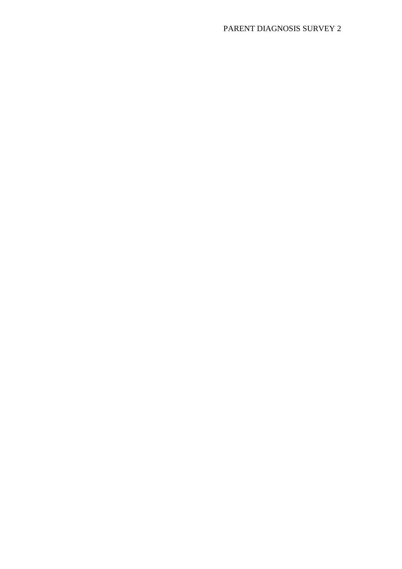# PARENT DIAGNOSIS SURVEY 2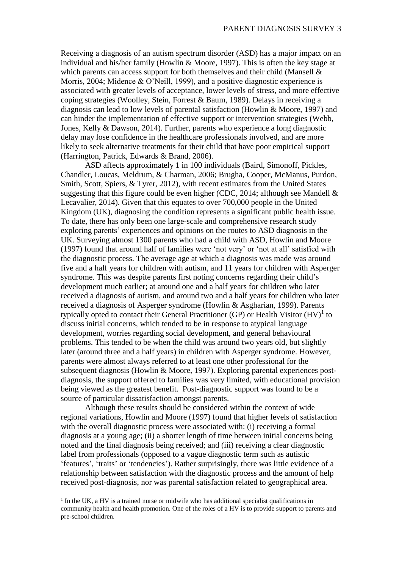Receiving a diagnosis of an autism spectrum disorder (ASD) has a major impact on an individual and his/her family (Howlin & Moore, 1997). This is often the key stage at which parents can access support for both themselves and their child (Mansell  $\&$ ) Morris, 2004; Midence & O'Neill, 1999), and a positive diagnostic experience is associated with greater levels of acceptance, lower levels of stress, and more effective coping strategies (Woolley, Stein, Forrest & Baum, 1989). Delays in receiving a diagnosis can lead to low levels of parental satisfaction (Howlin & Moore, 1997) and can hinder the implementation of effective support or intervention strategies (Webb, Jones, Kelly & Dawson, 2014). Further, parents who experience a long diagnostic delay may lose confidence in the healthcare professionals involved, and are more likely to seek alternative treatments for their child that have poor empirical support (Harrington, Patrick, Edwards & Brand, 2006).

ASD affects approximately 1 in 100 individuals (Baird, Simonoff, Pickles, Chandler, Loucas, Meldrum, & Charman, 2006; Brugha, Cooper, McManus, Purdon, Smith, Scott, Spiers, & Tyrer, 2012), with recent estimates from the United States suggesting that this figure could be even higher (CDC, 2014; although see Mandell  $\&$ Lecavalier, 2014). Given that this equates to over 700,000 people in the United Kingdom (UK), diagnosing the condition represents a significant public health issue. To date, there has only been one large-scale and comprehensive research study exploring parents' experiences and opinions on the routes to ASD diagnosis in the UK. Surveying almost 1300 parents who had a child with ASD, Howlin and Moore (1997) found that around half of families were 'not very' or 'not at all' satisfied with the diagnostic process. The average age at which a diagnosis was made was around five and a half years for children with autism, and 11 years for children with Asperger syndrome. This was despite parents first noting concerns regarding their child's development much earlier; at around one and a half years for children who later received a diagnosis of autism, and around two and a half years for children who later received a diagnosis of Asperger syndrome (Howlin & Asgharian, 1999). Parents typically opted to contact their General Practitioner (GP) or Health Visitor  $(HV)^1$  to discuss initial concerns, which tended to be in response to atypical language development, worries regarding social development, and general behavioural problems. This tended to be when the child was around two years old, but slightly later (around three and a half years) in children with Asperger syndrome. However, parents were almost always referred to at least one other professional for the subsequent diagnosis (Howlin & Moore, 1997). Exploring parental experiences postdiagnosis, the support offered to families was very limited, with educational provision being viewed as the greatest benefit. Post-diagnostic support was found to be a source of particular dissatisfaction amongst parents.

Although these results should be considered within the context of wide regional variations, Howlin and Moore (1997) found that higher levels of satisfaction with the overall diagnostic process were associated with: (i) receiving a formal diagnosis at a young age; (ii) a shorter length of time between initial concerns being noted and the final diagnosis being received; and (iii) receiving a clear diagnostic label from professionals (opposed to a vague diagnostic term such as autistic 'features', 'traits' or 'tendencies'). Rather surprisingly, there was little evidence of a relationship between satisfaction with the diagnostic process and the amount of help received post-diagnosis, nor was parental satisfaction related to geographical area.

<u>.</u>

<sup>&</sup>lt;sup>1</sup> In the UK, a HV is a trained nurse or midwife who has additional specialist qualifications in community health and health promotion. One of the roles of a HV is to provide support to parents and pre-school children.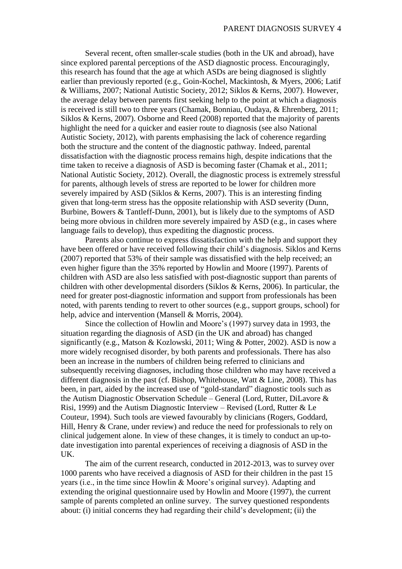Several recent, often smaller-scale studies (both in the UK and abroad), have since explored parental perceptions of the ASD diagnostic process. Encouragingly, this research has found that the age at which ASDs are being diagnosed is slightly earlier than previously reported (e.g., Goin-Kochel, Mackintosh, & Myers, 2006; Latif & Williams, 2007; National Autistic Society, 2012; Siklos & Kerns, 2007). However, the average delay between parents first seeking help to the point at which a diagnosis is received is still two to three years (Chamak, Bonniau, Oudaya, & Ehrenberg, 2011; Siklos & Kerns, 2007). Osborne and Reed (2008) reported that the majority of parents highlight the need for a quicker and easier route to diagnosis (see also National Autistic Society, 2012), with parents emphasising the lack of coherence regarding both the structure and the content of the diagnostic pathway. Indeed, parental dissatisfaction with the diagnostic process remains high, despite indications that the time taken to receive a diagnosis of ASD is becoming faster (Chamak et al., 2011; National Autistic Society, 2012). Overall, the diagnostic process is extremely stressful for parents, although levels of stress are reported to be lower for children more severely impaired by ASD (Siklos & Kerns, 2007). This is an interesting finding given that long-term stress has the opposite relationship with ASD severity (Dunn, Burbine, Bowers & Tantleff-Dunn, 2001), but is likely due to the symptoms of ASD being more obvious in children more severely impaired by ASD (e.g., in cases where language fails to develop), thus expediting the diagnostic process.

Parents also continue to express dissatisfaction with the help and support they have been offered or have received following their child's diagnosis. Siklos and Kerns (2007) reported that 53% of their sample was dissatisfied with the help received; an even higher figure than the 35% reported by Howlin and Moore (1997). Parents of children with ASD are also less satisfied with post-diagnostic support than parents of children with other developmental disorders (Siklos & Kerns, 2006). In particular, the need for greater post-diagnostic information and support from professionals has been noted, with parents tending to revert to other sources (e.g., support groups, school) for help, advice and intervention (Mansell & Morris, 2004).

Since the collection of Howlin and Moore's (1997) survey data in 1993, the situation regarding the diagnosis of ASD (in the UK and abroad) has changed significantly (e.g., Matson & Kozlowski, 2011; Wing & Potter, 2002). ASD is now a more widely recognised disorder, by both parents and professionals. There has also been an increase in the numbers of children being referred to clinicians and subsequently receiving diagnoses, including those children who may have received a different diagnosis in the past (cf. Bishop, Whitehouse, Watt & Line, 2008). This has been, in part, aided by the increased use of "gold-standard" diagnostic tools such as the Autism Diagnostic Observation Schedule – General (Lord, Rutter, DiLavore & Risi, 1999) and the Autism Diagnostic Interview – Revised (Lord, Rutter & Le Couteur, 1994). Such tools are viewed favourably by clinicians (Rogers, Goddard, Hill, Henry & Crane, under review) and reduce the need for professionals to rely on clinical judgement alone. In view of these changes, it is timely to conduct an up-todate investigation into parental experiences of receiving a diagnosis of ASD in the UK.

The aim of the current research, conducted in 2012-2013, was to survey over 1000 parents who have received a diagnosis of ASD for their children in the past 15 years (i.e., in the time since Howlin & Moore's original survey). Adapting and extending the original questionnaire used by Howlin and Moore (1997), the current sample of parents completed an online survey. The survey questioned respondents about: (i) initial concerns they had regarding their child's development; (ii) the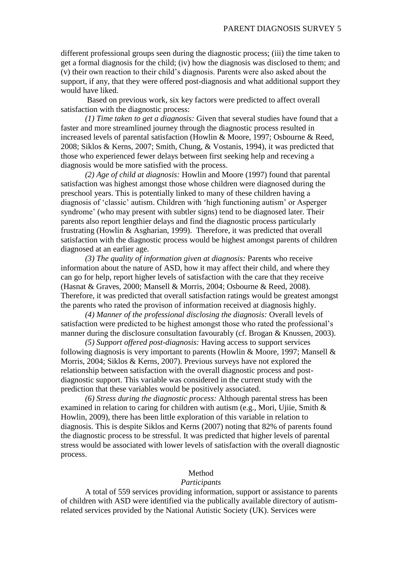different professional groups seen during the diagnostic process; (iii) the time taken to get a formal diagnosis for the child; (iv) how the diagnosis was disclosed to them; and (v) their own reaction to their child's diagnosis. Parents were also asked about the support, if any, that they were offered post-diagnosis and what additional support they would have liked.

Based on previous work, six key factors were predicted to affect overall satisfaction with the diagnostic process:

*(1) Time taken to get a diagnosis:* Given that several studies have found that a faster and more streamlined journey through the diagnostic process resulted in increased levels of parental satisfaction (Howlin & Moore, 1997; Osbourne & Reed, 2008; Siklos & Kerns, 2007; Smith, Chung, & Vostanis, 1994), it was predicted that those who experienced fewer delays between first seeking help and receving a diagnosis would be more satisfied with the process.

*(2) Age of child at diagnosis:* Howlin and Moore (1997) found that parental satisfaction was highest amongst those whose children were diagnosed during the preschool years. This is potentially linked to many of these children having a diagnosis of 'classic' autism. Children with 'high functioning autism' or Asperger syndrome' (who may present with subtler signs) tend to be diagnosed later. Their parents also report lengthier delays and find the diagnostic process particularly frustrating (Howlin & Asgharian, 1999). Therefore, it was predicted that overall satisfaction with the diagnostic process would be highest amongst parents of children diagnosed at an earlier age.

*(3) The quality of information given at diagnosis:* Parents who receive information about the nature of ASD, how it may affect their child, and where they can go for help, report higher levels of satisfaction with the care that they receive (Hasnat & Graves, 2000; Mansell & Morris, 2004; Osbourne & Reed, 2008). Therefore, it was predicted that overall satisfaction ratings would be greatest amongst the parents who rated the provison of information received at diagnosis highly.

*(4) Manner of the professional disclosing the diagnosis:* Overall levels of satisfaction were predicted to be highest amongst those who rated the professional's manner during the disclosure consultation favourably (cf. Brogan & Knussen, 2003).

*(5) Support offered post-diagnosis:* Having access to support services following diagnosis is very important to parents (Howlin & Moore, 1997; Mansell & Morris, 2004; Siklos & Kerns, 2007). Previous surveys have not explored the relationship between satisfaction with the overall diagnostic process and postdiagnostic support. This variable was considered in the current study with the prediction that these variables would be positively associated.

*(6) Stress during the diagnostic process:* Although parental stress has been examined in relation to caring for children with autism (e.g., Mori, Ujiie, Smith & Howlin, 2009), there has been little exploration of this variable in relation to diagnosis. This is despite Siklos and Kerns (2007) noting that 82% of parents found the diagnostic process to be stressful. It was predicted that higher levels of parental stress would be associated with lower levels of satisfaction with the overall diagnostic process.

#### Method

## *Participants*

A total of 559 services providing information, support or assistance to parents of children with ASD were identified via the publically available directory of autismrelated services provided by the National Autistic Society (UK). Services were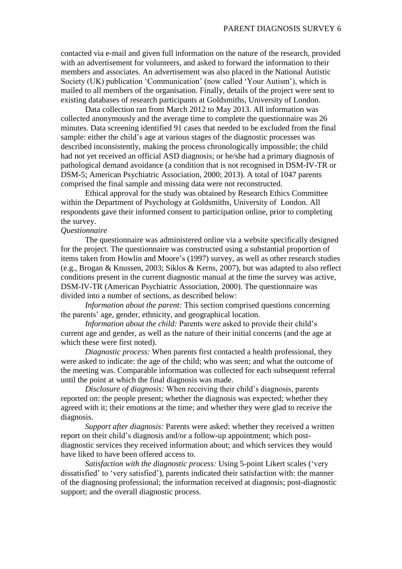contacted via e-mail and given full information on the nature of the research, provided with an advertisement for volunteers, and asked to forward the information to their members and associates. An advertisement was also placed in the National Autistic Society (UK) publication 'Communication' (now called 'Your Autism'), which is mailed to all members of the organisation. Finally, details of the project were sent to existing databases of research participants at Goldsmiths, University of London.

Data collection ran from March 2012 to May 2013. All information was collected anonymously and the average time to complete the questionnaire was 26 minutes. Data screening identified 91 cases that needed to be excluded from the final sample: either the child's age at various stages of the diagnostic processes was described inconsistently, making the process chronologically impossible; the child had not yet received an official ASD diagnosis; or he/she had a primary diagnosis of pathological demand avoidance (a condition that is not recognised in DSM-IV-TR or DSM-5; American Psychiatric Association, 2000; 2013). A total of 1047 parents comprised the final sample and missing data were not reconstructed.

Ethical approval for the study was obtained by Research Ethics Committee within the Department of Psychology at Goldsmiths, University of London. All respondents gave their informed consent to participation online, prior to completing the survey.

#### *Questionnaire*

The questionnaire was administered online via a website specifically designed for the project. The questionnaire was constructed using a substantial proportion of items taken from Howlin and Moore's (1997) survey, as well as other research studies (e.g., Brogan & Knussen, 2003; Siklos & Kerns, 2007), but was adapted to also reflect conditions present in the current diagnostic manual at the time the survey was active, DSM-IV-TR (American Psychiatric Association, 2000). The questionnaire was divided into a number of sections, as described below:

*Information about the parent:* This section comprised questions concerning the parents' age, gender, ethnicity, and geographical location.

*Information about the child:* Parents were asked to provide their child's current age and gender, as well as the nature of their initial concerns (and the age at which these were first noted).

*Diagnostic process:* When parents first contacted a health professional, they were asked to indicate: the age of the child; who was seen; and what the outcome of the meeting was. Comparable information was collected for each subsequent referral until the point at which the final diagnosis was made.

*Disclosure of diagnosis:* When receiving their child's diagnosis, parents reported on: the people present; whether the diagnosis was expected; whether they agreed with it; their emotions at the time; and whether they were glad to receive the diagnosis.

*Support after diagnosis:* Parents were asked: whether they received a written report on their child's diagnosis and/or a follow-up appointment; which postdiagnostic services they received information about; and which services they would have liked to have been offered access to.

*Satisfaction with the diagnostic process:* Using 5-point Likert scales ('very dissatisfied' to 'very satisfied'), parents indicated their satisfaction with: the manner of the diagnosing professional; the information received at diagnosis; post-diagnostic support; and the overall diagnostic process.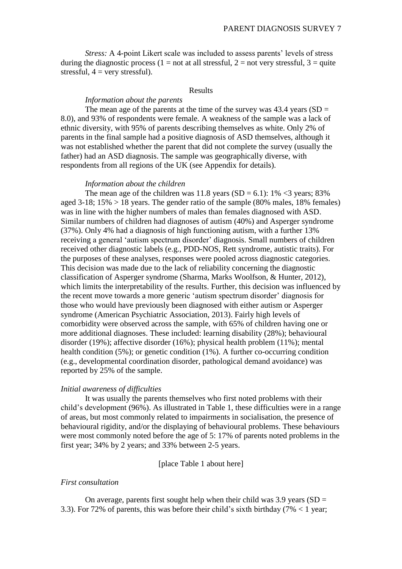*Stress:* A 4-point Likert scale was included to assess parents' levels of stress during the diagnostic process (1 = not at all stressful, 2 = not very stressful, 3 = quite stressful,  $4 =$  very stressful).

#### Results

## *Information about the parents*

The mean age of the parents at the time of the survey was  $43.4$  years (SD = 8.0), and 93% of respondents were female. A weakness of the sample was a lack of ethnic diversity, with 95% of parents describing themselves as white. Only 2% of parents in the final sample had a positive diagnosis of ASD themselves, although it was not established whether the parent that did not complete the survey (usually the father) had an ASD diagnosis. The sample was geographically diverse, with respondents from all regions of the UK (see Appendix for details).

#### *Information about the children*

The mean age of the children was 11.8 years (SD = 6.1):  $1\%$  <3 years; 83% aged  $3-18$ ;  $15\% > 18$  years. The gender ratio of the sample (80% males, 18% females) was in line with the higher numbers of males than females diagnosed with ASD. Similar numbers of children had diagnoses of autism (40%) and Asperger syndrome (37%). Only 4% had a diagnosis of high functioning autism, with a further 13% receiving a general 'autism spectrum disorder' diagnosis. Small numbers of children received other diagnostic labels (e.g., PDD-NOS, Rett syndrome, autistic traits). For the purposes of these analyses, responses were pooled across diagnostic categories. This decision was made due to the lack of reliability concerning the diagnostic classification of Asperger syndrome (Sharma, Marks Woolfson, & Hunter, 2012), which limits the interpretability of the results. Further, this decision was influenced by the recent move towards a more generic 'autism spectrum disorder' diagnosis for those who would have previously been diagnosed with either autism or Asperger syndrome (American Psychiatric Association, 2013). Fairly high levels of comorbidity were observed across the sample, with 65% of children having one or more additional diagnoses. These included: learning disability (28%); behavioural disorder (19%); affective disorder (16%); physical health problem (11%); mental health condition (5%); or genetic condition (1%). A further co-occurring condition (e.g., developmental coordination disorder, pathological demand avoidance) was reported by 25% of the sample.

#### *Initial awareness of difficulties*

It was usually the parents themselves who first noted problems with their child's development (96%). As illustrated in Table 1, these difficulties were in a range of areas, but most commonly related to impairments in socialisation, the presence of behavioural rigidity, and/or the displaying of behavioural problems. These behaviours were most commonly noted before the age of 5: 17% of parents noted problems in the first year; 34% by 2 years; and 33% between 2-5 years.

[place Table 1 about here]

#### *First consultation*

On average, parents first sought help when their child was  $3.9$  years (SD = 3.3). For 72% of parents, this was before their child's sixth birthday (7% < 1 year;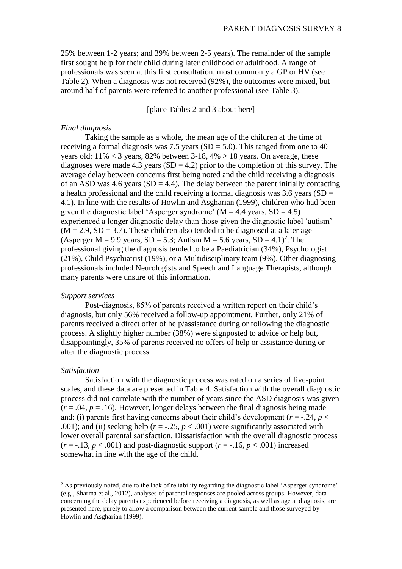25% between 1-2 years; and 39% between 2-5 years). The remainder of the sample first sought help for their child during later childhood or adulthood. A range of professionals was seen at this first consultation, most commonly a GP or HV (see Table 2). When a diagnosis was not received (92%), the outcomes were mixed, but around half of parents were referred to another professional (see Table 3).

[place Tables 2 and 3 about here]

#### *Final diagnosis*

Taking the sample as a whole, the mean age of the children at the time of receiving a formal diagnosis was 7.5 years ( $SD = 5.0$ ). This ranged from one to 40 years old:  $11\% < 3$  years, 82% between 3-18, 4% > 18 years. On average, these diagnoses were made 4.3 years  $(SD = 4.2)$  prior to the completion of this survey. The average delay between concerns first being noted and the child receiving a diagnosis of an ASD was 4.6 years  $(SD = 4.4)$ . The delay between the parent initially contacting a health professional and the child receiving a formal diagnosis was 3.6 years (SD = 4.1). In line with the results of Howlin and Asgharian (1999), children who had been given the diagnostic label 'Asperger syndrome' ( $M = 4.4$  years,  $SD = 4.5$ ) experienced a longer diagnostic delay than those given the diagnostic label 'autism'  $(M = 2.9, SD = 3.7)$ . These children also tended to be diagnosed at a later age (Asperger  $M = 9.9$  years,  $SD = 5.3$ ; Autism  $M = 5.6$  years,  $SD = 4.1$ )<sup>2</sup>. The professional giving the diagnosis tended to be a Paediatrician (34%), Psychologist (21%), Child Psychiatrist (19%), or a Multidisciplinary team (9%). Other diagnosing professionals included Neurologists and Speech and Language Therapists, although many parents were unsure of this information.

#### *Support services*

Post-diagnosis, 85% of parents received a written report on their child's diagnosis, but only 56% received a follow-up appointment. Further, only 21% of parents received a direct offer of help/assistance during or following the diagnostic process. A slightly higher number (38%) were signposted to advice or help but, disappointingly, 35% of parents received no offers of help or assistance during or after the diagnostic process.

#### *Satisfaction*

<u>.</u>

Satisfaction with the diagnostic process was rated on a series of five-point scales, and these data are presented in Table 4. Satisfaction with the overall diagnostic process did not correlate with the number of years since the ASD diagnosis was given  $(r = .04, p = .16)$ . However, longer delays between the final diagnosis being made and: (i) parents first having concerns about their child's development ( $r = -0.24$ ,  $p <$ .001); and (ii) seeking help ( $r = -0.25$ ,  $p < 0.001$ ) were significantly associated with lower overall parental satisfaction. Dissatisfaction with the overall diagnostic process  $(r = -.13, p < .001)$  and post-diagnostic support  $(r = -.16, p < .001)$  increased somewhat in line with the age of the child.

<sup>&</sup>lt;sup>2</sup> As previously noted, due to the lack of reliability regarding the diagnostic label 'Asperger syndrome' (e.g., Sharma et al., 2012), analyses of parental responses are pooled across groups. However, data concerning the delay parents experienced before receiving a diagnosis, as well as age at diagnosis, are presented here, purely to allow a comparison between the current sample and those surveyed by Howlin and Asgharian (1999).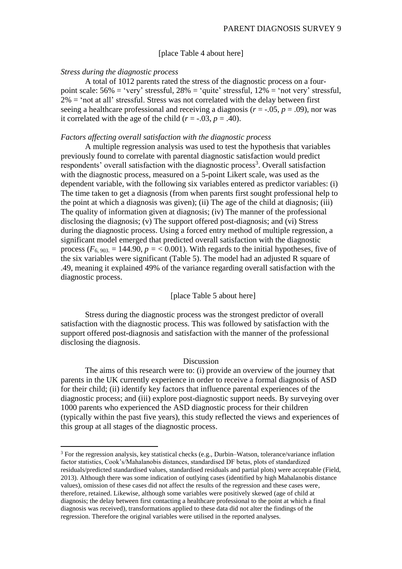#### [place Table 4 about here]

#### *Stress during the diagnostic process*

<u>.</u>

A total of 1012 parents rated the stress of the diagnostic process on a fourpoint scale:  $56\% = 'very' stressful, 28\% = 'quite' stressful, 12\% = 'not very' stressful,$  $2\%$  = 'not at all' stressful. Stress was not correlated with the delay between first seeing a healthcare professional and receiving a diagnosis ( $r = -0.05$ ,  $p = 0.09$ ), nor was it correlated with the age of the child  $(r = -.03, p = .40)$ .

## *Factors affecting overall satisfaction with the diagnostic process*

A multiple regression analysis was used to test the hypothesis that variables previously found to correlate with parental diagnostic satisfaction would predict respondents' overall satisfaction with the diagnostic process<sup>3</sup>. Overall satisfaction with the diagnostic process, measured on a 5-point Likert scale, was used as the dependent variable, with the following six variables entered as predictor variables: (i) The time taken to get a diagnosis (from when parents first sought professional help to the point at which a diagnosis was given); (ii) The age of the child at diagnosis; (iii) The quality of information given at diagnosis; (iv) The manner of the professional disclosing the diagnosis; (v) The support offered post-diagnosis; and (vi) Stress during the diagnostic process. Using a forced entry method of multiple regression, a significant model emerged that predicted overall satisfaction with the diagnostic process ( $F_6$   $_{903}$  = 144.90,  $p =$  < 0.001). With regards to the initial hypotheses, five of the six variables were significant (Table 5). The model had an adjusted R square of .49, meaning it explained 49% of the variance regarding overall satisfaction with the diagnostic process.

#### [place Table 5 about here]

Stress during the diagnostic process was the strongest predictor of overall satisfaction with the diagnostic process. This was followed by satisfaction with the support offered post-diagnosis and satisfaction with the manner of the professional disclosing the diagnosis.

#### Discussion

The aims of this research were to: (i) provide an overview of the journey that parents in the UK currently experience in order to receive a formal diagnosis of ASD for their child; (ii) identify key factors that influence parental experiences of the diagnostic process; and (iii) explore post-diagnostic support needs. By surveying over 1000 parents who experienced the ASD diagnostic process for their children (typically within the past five years), this study reflected the views and experiences of this group at all stages of the diagnostic process.

<sup>3</sup> For the regression analysis, key statistical checks (e.g., Durbin–Watson, tolerance/variance inflation factor statistics, Cook's/Mahalanobis distances, standardised DF betas, plots of standardized residuals/predicted standardised values, standardised residuals and partial plots) were acceptable (Field, 2013). Although there was some indication of outlying cases (identified by high Mahalanobis distance values), omission of these cases did not affect the results of the regression and these cases were, therefore, retained. Likewise, although some variables were positively skewed (age of child at diagnosis; the delay between first contacting a healthcare professional to the point at which a final diagnosis was received), transformations applied to these data did not alter the findings of the regression. Therefore the original variables were utilised in the reported analyses.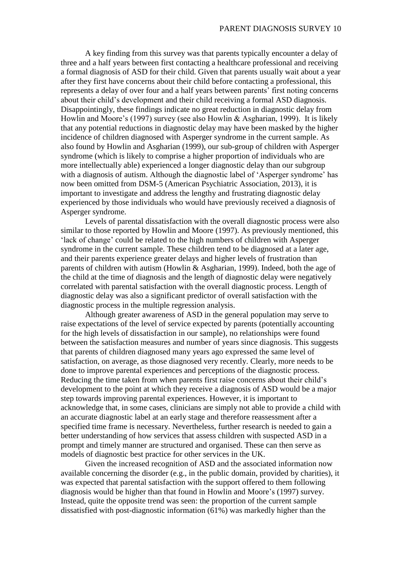A key finding from this survey was that parents typically encounter a delay of three and a half years between first contacting a healthcare professional and receiving a formal diagnosis of ASD for their child. Given that parents usually wait about a year after they first have concerns about their child before contacting a professional, this represents a delay of over four and a half years between parents' first noting concerns about their child's development and their child receiving a formal ASD diagnosis. Disappointingly, these findings indicate no great reduction in diagnostic delay from Howlin and Moore's (1997) survey (see also Howlin & Asgharian, 1999). It is likely that any potential reductions in diagnostic delay may have been masked by the higher incidence of children diagnosed with Asperger syndrome in the current sample. As also found by Howlin and Asgharian (1999), our sub-group of children with Asperger syndrome (which is likely to comprise a higher proportion of individuals who are more intellectually able) experienced a longer diagnostic delay than our subgroup with a diagnosis of autism. Although the diagnostic label of 'Asperger syndrome' has now been omitted from DSM-5 (American Psychiatric Association, 2013), it is important to investigate and address the lengthy and frustrating diagnostic delay experienced by those individuals who would have previously received a diagnosis of Asperger syndrome.

Levels of parental dissatisfaction with the overall diagnostic process were also similar to those reported by Howlin and Moore (1997). As previously mentioned, this 'lack of change' could be related to the high numbers of children with Asperger syndrome in the current sample. These children tend to be diagnosed at a later age, and their parents experience greater delays and higher levels of frustration than parents of children with autism (Howlin & Asgharian, 1999). Indeed, both the age of the child at the time of diagnosis and the length of diagnostic delay were negatively correlated with parental satisfaction with the overall diagnostic process. Length of diagnostic delay was also a significant predictor of overall satisfaction with the diagnostic process in the multiple regression analysis.

Although greater awareness of ASD in the general population may serve to raise expectations of the level of service expected by parents (potentially accounting for the high levels of dissatisfaction in our sample), no relationships were found between the satisfaction measures and number of years since diagnosis. This suggests that parents of children diagnosed many years ago expressed the same level of satisfaction, on average, as those diagnosed very recently. Clearly, more needs to be done to improve parental experiences and perceptions of the diagnostic process. Reducing the time taken from when parents first raise concerns about their child's development to the point at which they receive a diagnosis of ASD would be a major step towards improving parental experiences. However, it is important to acknowledge that, in some cases, clinicians are simply not able to provide a child with an accurate diagnostic label at an early stage and therefore reassessment after a specified time frame is necessary. Nevertheless, further research is needed to gain a better understanding of how services that assess children with suspected ASD in a prompt and timely manner are structured and organised. These can then serve as models of diagnostic best practice for other services in the UK.

Given the increased recognition of ASD and the associated information now available concerning the disorder (e.g., in the public domain, provided by charities), it was expected that parental satisfaction with the support offered to them following diagnosis would be higher than that found in Howlin and Moore's (1997) survey. Instead, quite the opposite trend was seen: the proportion of the current sample dissatisfied with post-diagnostic information (61%) was markedly higher than the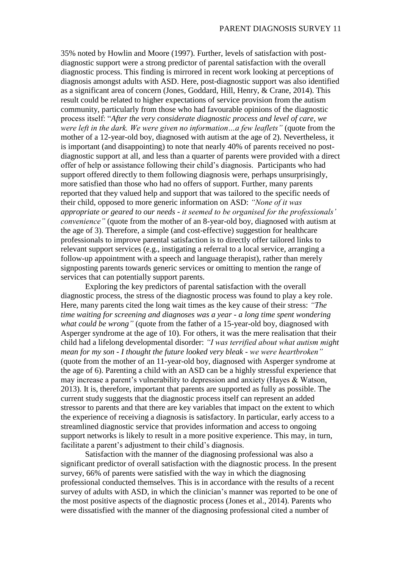35% noted by Howlin and Moore (1997). Further, levels of satisfaction with postdiagnostic support were a strong predictor of parental satisfaction with the overall diagnostic process. This finding is mirrored in recent work looking at perceptions of diagnosis amongst adults with ASD. Here, post-diagnostic support was also identified as a significant area of concern (Jones, Goddard, Hill, Henry, & Crane, 2014). This result could be related to higher expectations of service provision from the autism community, particularly from those who had favourable opinions of the diagnostic process itself: "*After the very considerate diagnostic process and level of care, we were left in the dark. We were given no information…a few leaflets"* (quote from the mother of a 12-year-old boy, diagnosed with autism at the age of 2). Nevertheless, it is important (and disappointing) to note that nearly 40% of parents received no postdiagnostic support at all, and less than a quarter of parents were provided with a direct offer of help or assistance following their child's diagnosis. Participants who had support offered directly to them following diagnosis were, perhaps unsurprisingly, more satisfied than those who had no offers of support. Further, many parents reported that they valued help and support that was tailored to the specific needs of their child, opposed to more generic information on ASD: *"None of it was appropriate or geared to our needs - it seemed to be organised for the professionals' convenience"* (quote from the mother of an 8-year-old boy, diagnosed with autism at the age of 3). Therefore, a simple (and cost-effective) suggestion for healthcare professionals to improve parental satisfaction is to directly offer tailored links to relevant support services (e.g., instigating a referral to a local service, arranging a follow-up appointment with a speech and language therapist), rather than merely signposting parents towards generic services or omitting to mention the range of services that can potentially support parents.

Exploring the key predictors of parental satisfaction with the overall diagnostic process, the stress of the diagnostic process was found to play a key role. Here, many parents cited the long wait times as the key cause of their stress: *"The time waiting for screening and diagnoses was a year - a long time spent wondering what could be wrong"* (quote from the father of a 15-year-old boy, diagnosed with Asperger syndrome at the age of 10). For others, it was the mere realisation that their child had a lifelong developmental disorder: *"I was terrified about what autism might mean for my son - I thought the future looked very bleak - we were heartbroken"* (quote from the mother of an 11-year-old boy, diagnosed with Asperger syndrome at the age of 6). Parenting a child with an ASD can be a highly stressful experience that may increase a parent's vulnerability to depression and anxiety (Hayes & Watson, 2013). It is, therefore, important that parents are supported as fully as possible. The current study suggests that the diagnostic process itself can represent an added stressor to parents and that there are key variables that impact on the extent to which the experience of receiving a diagnosis is satisfactory. In particular, early access to a streamlined diagnostic service that provides information and access to ongoing support networks is likely to result in a more positive experience. This may, in turn, facilitate a parent's adjustment to their child's diagnosis.

Satisfaction with the manner of the diagnosing professional was also a significant predictor of overall satisfaction with the diagnostic process. In the present survey, 66% of parents were satisfied with the way in which the diagnosing professional conducted themselves. This is in accordance with the results of a recent survey of adults with ASD, in which the clinician's manner was reported to be one of the most positive aspects of the diagnostic process (Jones et al., 2014). Parents who were dissatisfied with the manner of the diagnosing professional cited a number of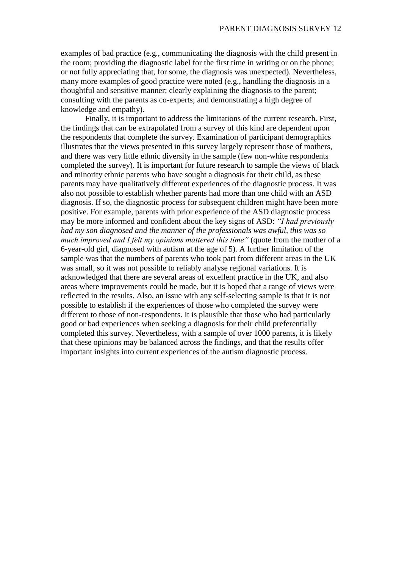examples of bad practice (e.g., communicating the diagnosis with the child present in the room; providing the diagnostic label for the first time in writing or on the phone; or not fully appreciating that, for some, the diagnosis was unexpected). Nevertheless, many more examples of good practice were noted (e.g., handling the diagnosis in a thoughtful and sensitive manner; clearly explaining the diagnosis to the parent; consulting with the parents as co-experts; and demonstrating a high degree of knowledge and empathy).

Finally, it is important to address the limitations of the current research. First, the findings that can be extrapolated from a survey of this kind are dependent upon the respondents that complete the survey. Examination of participant demographics illustrates that the views presented in this survey largely represent those of mothers, and there was very little ethnic diversity in the sample (few non-white respondents completed the survey). It is important for future research to sample the views of black and minority ethnic parents who have sought a diagnosis for their child, as these parents may have qualitatively different experiences of the diagnostic process. It was also not possible to establish whether parents had more than one child with an ASD diagnosis. If so, the diagnostic process for subsequent children might have been more positive. For example, parents with prior experience of the ASD diagnostic process may be more informed and confident about the key signs of ASD: *"I had previously had my son diagnosed and the manner of the professionals was awful, this was so much improved and I felt my opinions mattered this time"* (quote from the mother of a 6-year-old girl, diagnosed with autism at the age of 5). A further limitation of the sample was that the numbers of parents who took part from different areas in the UK was small, so it was not possible to reliably analyse regional variations. It is acknowledged that there are several areas of excellent practice in the UK, and also areas where improvements could be made, but it is hoped that a range of views were reflected in the results. Also, an issue with any self-selecting sample is that it is not possible to establish if the experiences of those who completed the survey were different to those of non-respondents. It is plausible that those who had particularly good or bad experiences when seeking a diagnosis for their child preferentially completed this survey. Nevertheless, with a sample of over 1000 parents, it is likely that these opinions may be balanced across the findings, and that the results offer important insights into current experiences of the autism diagnostic process.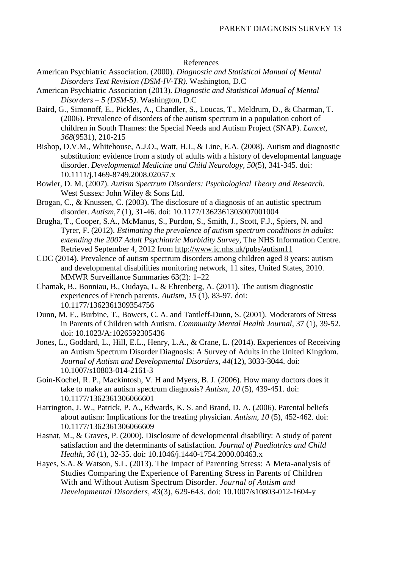#### References

- American Psychiatric Association. (2000). *Diagnostic and Statistical Manual of Mental Disorders Text Revision (DSM-IV-TR)*. Washington, D.C
- American Psychiatric Association (2013). *Diagnostic and Statistical Manual of Mental Disorders – 5 (DSM-5)*. Washington, D.C
- [Baird, G.](http://www.ncbi.nlm.nih.gov/pubmed?term=Baird%20G%5BAuthor%5D&cauthor=true&cauthor_uid=16844490), [Simonoff, E.](http://www.ncbi.nlm.nih.gov/pubmed?term=Simonoff%20E%5BAuthor%5D&cauthor=true&cauthor_uid=16844490), [Pickles, A.](http://www.ncbi.nlm.nih.gov/pubmed?term=Pickles%20A%5BAuthor%5D&cauthor=true&cauthor_uid=16844490), [Chandler, S.](http://www.ncbi.nlm.nih.gov/pubmed?term=Chandler%20S%5BAuthor%5D&cauthor=true&cauthor_uid=16844490), [Loucas, T.](http://www.ncbi.nlm.nih.gov/pubmed?term=Loucas%20T%5BAuthor%5D&cauthor=true&cauthor_uid=16844490), [Meldrum, D.](http://www.ncbi.nlm.nih.gov/pubmed?term=Meldrum%20D%5BAuthor%5D&cauthor=true&cauthor_uid=16844490), & [Charman, T.](http://www.ncbi.nlm.nih.gov/pubmed?term=Charman%20T%5BAuthor%5D&cauthor=true&cauthor_uid=16844490) (2006). Prevalence of disorders of the autism spectrum in a population cohort of children in South Thames: the Special Needs and Autism Project (SNAP). *Lancet, 368*(9531), 210-215
- Bishop, D.V.M., Whitehouse, A.J.O., Watt, H.J., & Line, E.A. (2008). Autism and diagnostic substitution: evidence from a study of adults with a history of developmental language disorder. *Developmental Medicine and Child Neurology, 50*(5), 341-345. doi: 10.1111/j.1469-8749.2008.02057.x
- Bowler, D. M. (2007). *Autism Spectrum Disorders: Psychological Theory and Research*. West Sussex: John Wiley & Sons Ltd.
- Brogan, C., & Knussen, C. (2003). The disclosure of a diagnosis of an autistic spectrum disorder. *Autism,7* (1), 31-46. doi: 10.1177/1362361303007001004
- Brugha, T., Cooper, S.A., McManus, S., Purdon, S., Smith, J., Scott, F.J., Spiers, N. and Tyrer, F. (2012). *Estimating the prevalence of autism spectrum conditions in adults: extending the 2007 Adult Psychiatric Morbidity Survey*, The NHS Information Centre. Retrieved September 4, 2012 from <http://www.ic.nhs.uk/pubs/autism11>
- CDC (2014). Prevalence of autism spectrum disorders among children aged 8 years: autism and developmental disabilities monitoring network, 11 sites, United States, 2010. MMWR Surveillance Summaries 63(2): 1–22
- Chamak, B., Bonniau, B., Oudaya, L. & Ehrenberg, A. (2011). The autism diagnostic experiences of French parents. *Autism*, *15* (1), 83-97. doi: 10.1177/1362361309354756
- Dunn, M. E., Burbine, T., Bowers, C. A. and Tantleff-Dunn, S. (2001). Moderators of Stress in Parents of Children with Autism. *Community Mental Health Journal*, 37 (1), 39-52. doi: 10.1023/A:1026592305436
- Jones, L., Goddard, L., Hill, E.L., Henry, L.A., & Crane, L. (2014). Experiences of Receiving an Autism Spectrum Disorder Diagnosis: A Survey of Adults in the United Kingdom. *Journal of Autism and Developmental Disorders, 44*(12), 3033-3044*.* doi: 10.1007/s10803-014-2161-3
- Goin-Kochel, R. P., Mackintosh, V. H and Myers, B. J. (2006). How many doctors does it take to make an autism spectrum diagnosis? *Autism*, *10* (5), 439-451. doi: 10.1177/1362361306066601
- Harrington, J. W., Patrick, P. A., Edwards, K. S. and Brand, D. A. (2006). Parental beliefs about autism: Implications for the treating physician. *Autism, 10* (5), 452-462. doi: 10.1177/1362361306066609
- Hasnat, M., & Graves, P. (2000). Disclosure of developmental disability: A study of parent satisfaction and the determinants of satisfaction. *Journal of Paediatrics and Child Health, 36* (1), 32-35. doi: 10.1046/j.1440-1754.2000.00463.x
- Hayes, S.A. & Watson, S.L. (2013). The Impact of Parenting Stress: A Meta-analysis of Studies Comparing the Experience of Parenting Stress in Parents of Children With and Without Autism Spectrum Disorder. *Journal of Autism and Developmental Disorders, 43*(3), 629-643. doi: 10.1007/s10803-012-1604-y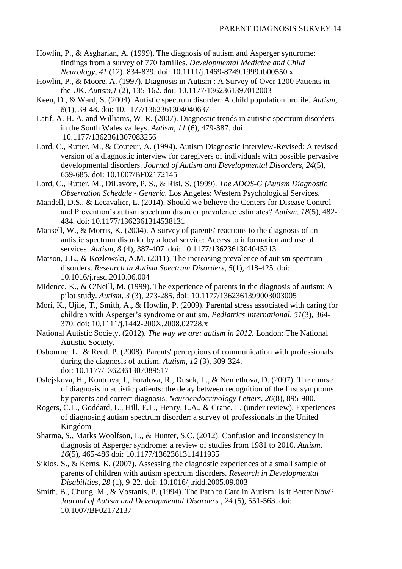- Howlin, P., & Asgharian, A. (1999). The diagnosis of autism and Asperger syndrome: findings from a survey of 770 families. *Developmental Medicine and Child Neurology, 41* (12), 834-839. doi: 10.1111/j.1469-8749.1999.tb00550.x
- Howlin, P., & Moore, A. (1997). Diagnosis in Autism : A Survey of Over 1200 Patients in the UK. *Autism,1* (2), 135-162. doi: 10.1177/1362361397012003
- Keen, D., & Ward, S. (2004). Autistic spectrum disorder: A child population profile. *Autism, 8*(1), 39-48. doi: 10.1177/1362361304040637
- Latif, A. H. A. and Williams, W. R. (2007). Diagnostic trends in autistic spectrum disorders in the South Wales valleys. *Autism*, *11* (6), 479-387. doi: 10.1177/1362361307083256
- Lord, C., Rutter, M., & Couteur, A. (1994). Autism Diagnostic Interview-Revised: A revised version of a diagnostic interview for caregivers of individuals with possible pervasive developmental disorders. *Journal of Autism and Developmental Disorders, 24*(5), 659-685. doi: 10.1007/BF02172145
- Lord, C., Rutter, M., DiLavore, P. S., & Risi, S. (1999). *The ADOS-G (Autism Diagnostic Observation Schedule - Generic*. Los Angeles: Western Psychological Services.
- Mandell, D.S., & Lecavalier, L. (2014). Should we believe the Centers for Disease Control and Prevention's autism spectrum disorder prevalence estimates? *Autism, 18*(5), 482- 484. doi: 10.1177/1362361314538131
- Mansell, W., & Morris, K. (2004). A survey of parents' reactions to the diagnosis of an autistic spectrum disorder by a local service: Access to information and use of services. *Autism, 8* (4), 387-407. doi: 10.1177/1362361304045213
- Matson, J.L., & Kozlowski, A.M. (2011). The increasing prevalence of autism spectrum disorders. *Research in Autism Spectrum Disorders, 5*(1), 418-425. doi: 10.1016/j.rasd.2010.06.004
- Midence, K., & O'Neill, M. (1999). The experience of parents in the diagnosis of autism: A pilot study. *Autism, 3* (3), 273-285. doi: 10.1177/1362361399003003005
- Mori, K., Ujiie, T., Smith, A., & Howlin, P. (2009). Parental stress associated with caring for children with Asperger's syndrome or autism. *Pediatrics International, 51*(3), 364- 370. doi: 10.1111/j.1442-200X.2008.02728.x
- National Autistic Society. (2012). *The way we are: autism in 2012.* London: The National Autistic Society.
- Osbourne, L., & Reed, P. (2008). Parents' perceptions of communication with professionals during the diagnosis of autism. *Autism, 12* (3), 309-324. doi: 10.1177/1362361307089517
- Oslejskova, H., Kontrova, I., Foralova, R., Dusek, L., & Nemethova, D. (2007). The course of diagnosis in autistic patients: the delay between recognition of the first symptoms by parents and correct diagnosis. *Neuroendocrinology Letters*, *26*(8), 895-900.
- Rogers, C.L., Goddard, L., Hill, E.L., Henry, L.A., & Crane, L. (under review). Experiences of diagnosing autism spectrum disorder: a survey of professionals in the United Kingdom
- Sharma, S., Marks Woolfson, L., & Hunter, S.C. (2012). Confusion and inconsistency in diagnosis of Asperger syndrome: a review of studies from 1981 to 2010. *Autism, 16*(5), 465-486 doi: 10.1177/1362361311411935
- Siklos, S., & Kerns, K. (2007). Assessing the diagnostic experiences of a small sample of parents of children with autism spectrum disorders. *Research in Developmental Disabilities, 28* (1), 9-22. doi: [10.1016/j.ridd.2005.09.003](http://dx.doi.org/10.1016/j.ridd.2005.09.003)
- Smith, B., Chung, M., & Vostanis, P. (1994). The Path to Care in Autism: Is it Better Now? *Journal of Autism and Developmental Disorders , 24* (5), 551-563. doi: 10.1007/BF02172137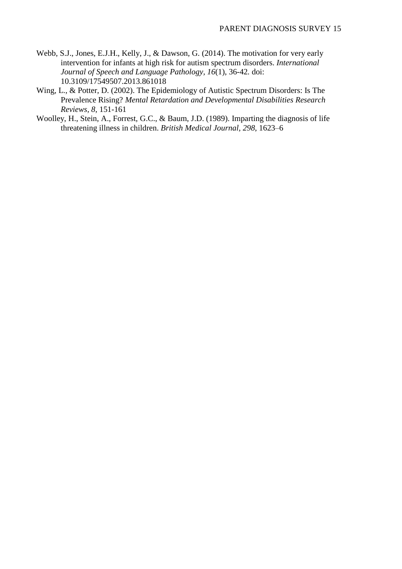- Webb, S.J., Jones, E.J.H., Kelly, J., & Dawson, G. (2014). The motivation for very early intervention for infants at high risk for autism spectrum disorders. *International Journal of Speech and Language Pathology, 16*(1), 36-42*.* doi: 10.3109/17549507.2013.861018
- Wing, L., & Potter, D. (2002). The Epidemiology of Autistic Spectrum Disorders: Is The Prevalence Rising? *Mental Retardation and Developmental Disabilities Research Reviews, 8*, 151-161
- Woolley, H., Stein, A., Forrest, G.C., & Baum, J.D. (1989). Imparting the diagnosis of life threatening illness in children. *British Medical Journal, 298*, 1623–6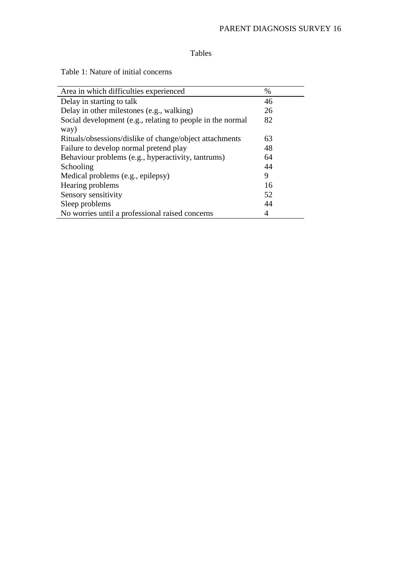# Tables

Table 1: Nature of initial concerns

| Area in which difficulties experienced                     | %  |
|------------------------------------------------------------|----|
| Delay in starting to talk                                  | 46 |
| Delay in other milestones (e.g., walking)                  | 26 |
| Social development (e.g., relating to people in the normal | 82 |
| way)                                                       |    |
| Rituals/obsessions/dislike of change/object attachments    | 63 |
| Failure to develop normal pretend play                     | 48 |
| Behaviour problems (e.g., hyperactivity, tantrums)         | 64 |
| Schooling                                                  | 44 |
| Medical problems (e.g., epilepsy)                          | 9  |
| Hearing problems                                           | 16 |
| Sensory sensitivity                                        | 52 |
| Sleep problems                                             | 44 |
| No worries until a professional raised concerns            | 4  |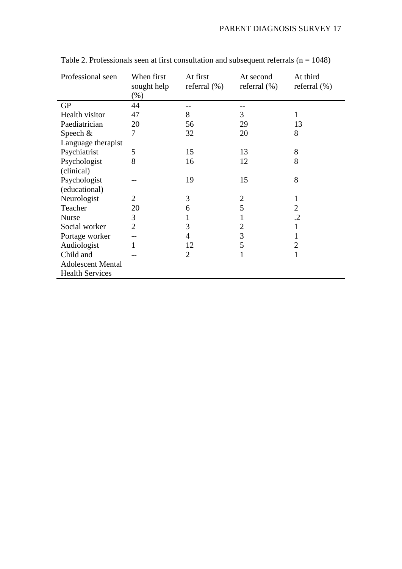| Professional seen        | When first             | At first        | At second       | At third        |
|--------------------------|------------------------|-----------------|-----------------|-----------------|
|                          | sought help<br>$(\% )$ | referral $(\%)$ | referral $(\%)$ | referral $(\%)$ |
| <b>GP</b>                | 44                     |                 |                 |                 |
| Health visitor           | 47                     | 8               | 3               | 1               |
| Paediatrician            | 20                     | 56              | 29              | 13              |
| Speech $&$               | 7                      | 32              | 20              | 8               |
| Language therapist       |                        |                 |                 |                 |
| Psychiatrist             | 5                      | 15              | 13              | 8               |
| Psychologist             | 8                      | 16              | 12              | 8               |
| (clinical)               |                        |                 |                 |                 |
| Psychologist             |                        | 19              | 15              | 8               |
| (educational)            |                        |                 |                 |                 |
| Neurologist              | 2                      | 3               | $\overline{2}$  | 1               |
| Teacher                  | 20                     | 6               | 5               | $\overline{2}$  |
| <b>Nurse</b>             | 3                      |                 | 1               | $\cdot$         |
| Social worker            | $\overline{2}$         | 3               | 2               | 1               |
| Portage worker           |                        | 4               | 3               | 1               |
| Audiologist              | 1                      | 12              | 5               | $\overline{2}$  |
| Child and                |                        | 2               | 1               | 1               |
| <b>Adolescent Mental</b> |                        |                 |                 |                 |
| <b>Health Services</b>   |                        |                 |                 |                 |

Table 2. Professionals seen at first consultation and subsequent referrals  $(n = 1048)$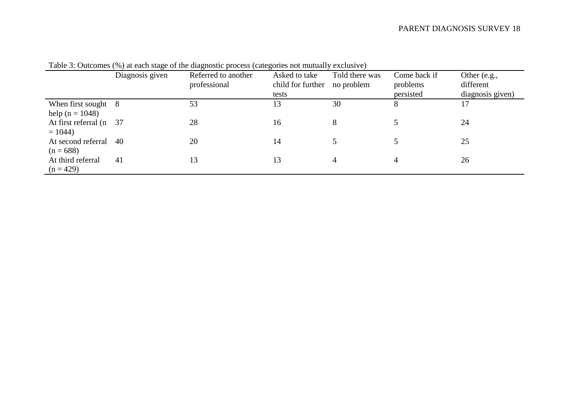# PARENT DIAGNOSIS SURVEY 18

|                                            | Diagnosis given | Referred to another<br>professional | Asked to take<br>child for further<br>tests | Told there was<br>no problem | Come back if<br>problems<br>persisted | Other $(e.g.,$<br>different<br>diagnosis given) |
|--------------------------------------------|-----------------|-------------------------------------|---------------------------------------------|------------------------------|---------------------------------------|-------------------------------------------------|
| When first sought 8<br>help ( $n = 1048$ ) |                 | 53                                  | 13                                          | 30                           | 8                                     | 17                                              |
| At first referral (n 37<br>$= 1044$        |                 | 28                                  | 16                                          | 8                            |                                       | 24                                              |
| At second referral<br>$(n = 688)$          | -40             | 20                                  | 14                                          |                              |                                       | 25                                              |
| At third referral<br>$(n = 429)$           | 41              | 13                                  | 13                                          |                              | $\overline{4}$                        | 26                                              |

Table 3: Outcomes (%) at each stage of the diagnostic process (categories not mutually exclusive)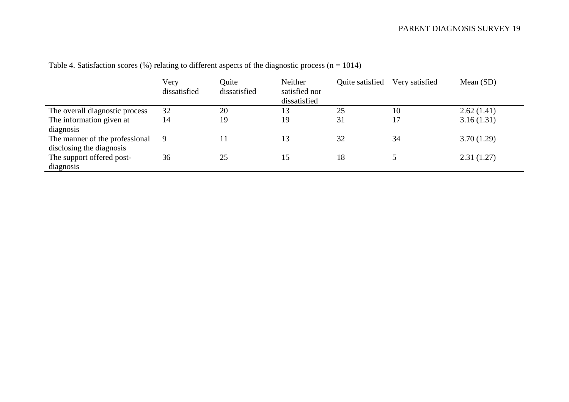|                                | Very<br>dissatisfied | Quite<br>dissatisfied | Neither<br>satisfied nor<br>dissatisfied | Quite satisfied | Very satisfied | Mean $(SD)$ |
|--------------------------------|----------------------|-----------------------|------------------------------------------|-----------------|----------------|-------------|
| The overall diagnostic process | 32                   | 20                    | 13                                       | 25              | 10             | 2.62(1.41)  |
| The information given at       | 14                   | 19                    | 19                                       | 31              | 17             | 3.16(1.31)  |
| diagnosis                      |                      |                       |                                          |                 |                |             |
| The manner of the professional | 9                    |                       | 13                                       | 32              | 34             | 3.70(1.29)  |
| disclosing the diagnosis       |                      |                       |                                          |                 |                |             |
| The support offered post-      | 36                   | 25                    | 15                                       | 18              |                | 2.31(1.27)  |
| diagnosis                      |                      |                       |                                          |                 |                |             |

Table 4. Satisfaction scores (%) relating to different aspects of the diagnostic process ( $n = 1014$ )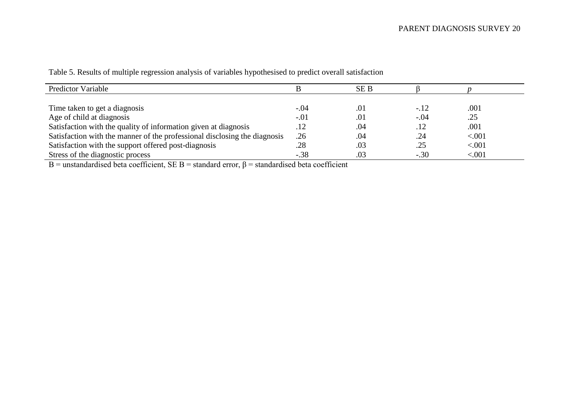| <b>Predictor Variable</b>                                                 |        | <b>SEB</b> |        |        |  |
|---------------------------------------------------------------------------|--------|------------|--------|--------|--|
|                                                                           |        |            |        |        |  |
| Time taken to get a diagnosis                                             | $-.04$ | .01        | $-.12$ | .001   |  |
| Age of child at diagnosis                                                 | $-.01$ | .01        | $-.04$ | .25    |  |
| Satisfaction with the quality of information given at diagnosis           | .12    | .04        | .12    | .001   |  |
| Satisfaction with the manner of the professional disclosing the diagnosis | .26    | .04        | .24    | < .001 |  |
| Satisfaction with the support offered post-diagnosis                      | .28    | .03        | .25    | < .001 |  |
| Stress of the diagnostic process                                          | $-.38$ | .03        | $-.30$ | < .001 |  |

Table 5. Results of multiple regression analysis of variables hypothesised to predict overall satisfaction

B = unstandardised beta coefficient, SE B = standard error,  $\beta$  = standardised beta coefficient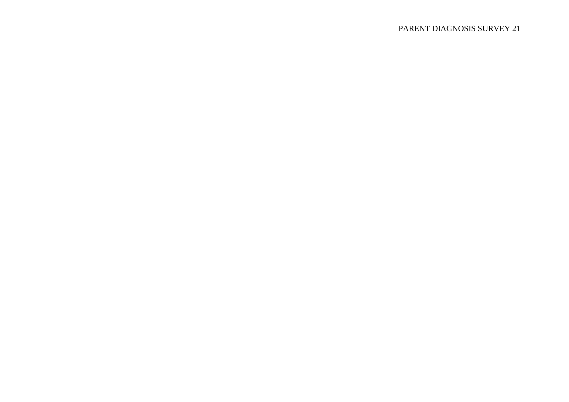# PARENT DIAGNOSIS SURVEY 21